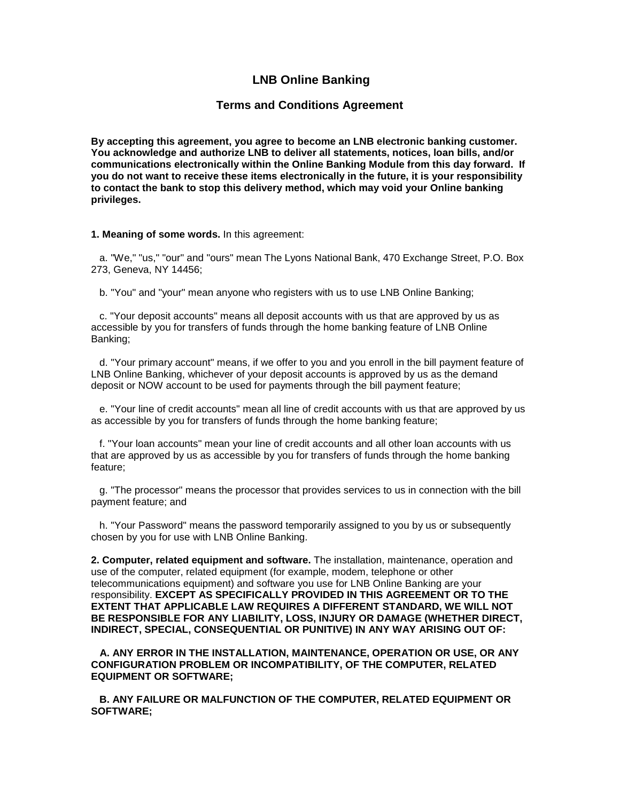# **LNB Online Banking**

### **Terms and Conditions Agreement**

**By accepting this agreement, you agree to become an LNB electronic banking customer. You acknowledge and authorize LNB to deliver all statements, notices, loan bills, and/or communications electronically within the Online Banking Module from this day forward. If you do not want to receive these items electronically in the future, it is your responsibility to contact the bank to stop this delivery method, which may void your Online banking privileges.** 

#### **1. Meaning of some words.** In this agreement:

 a. "We," "us," "our" and "ours" mean The Lyons National Bank, 470 Exchange Street, P.O. Box 273, Geneva, NY 14456;

b. "You" and "your" mean anyone who registers with us to use LNB Online Banking;

 c. "Your deposit accounts" means all deposit accounts with us that are approved by us as accessible by you for transfers of funds through the home banking feature of LNB Online Banking;

 d. "Your primary account" means, if we offer to you and you enroll in the bill payment feature of LNB Online Banking, whichever of your deposit accounts is approved by us as the demand deposit or NOW account to be used for payments through the bill payment feature;

 e. "Your line of credit accounts" mean all line of credit accounts with us that are approved by us as accessible by you for transfers of funds through the home banking feature;

 f. "Your loan accounts" mean your line of credit accounts and all other loan accounts with us that are approved by us as accessible by you for transfers of funds through the home banking feature;

 g. "The processor" means the processor that provides services to us in connection with the bill payment feature; and

 h. "Your Password" means the password temporarily assigned to you by us or subsequently chosen by you for use with LNB Online Banking.

**2. Computer, related equipment and software.** The installation, maintenance, operation and use of the computer, related equipment (for example, modem, telephone or other telecommunications equipment) and software you use for LNB Online Banking are your responsibility. **EXCEPT AS SPECIFICALLY PROVIDED IN THIS AGREEMENT OR TO THE EXTENT THAT APPLICABLE LAW REQUIRES A DIFFERENT STANDARD, WE WILL NOT BE RESPONSIBLE FOR ANY LIABILITY, LOSS, INJURY OR DAMAGE (WHETHER DIRECT, INDIRECT, SPECIAL, CONSEQUENTIAL OR PUNITIVE) IN ANY WAY ARISING OUT OF:**

**A. ANY ERROR IN THE INSTALLATION, MAINTENANCE, OPERATION OR USE, OR ANY CONFIGURATION PROBLEM OR INCOMPATIBILITY, OF THE COMPUTER, RELATED EQUIPMENT OR SOFTWARE;**

**B. ANY FAILURE OR MALFUNCTION OF THE COMPUTER, RELATED EQUIPMENT OR SOFTWARE;**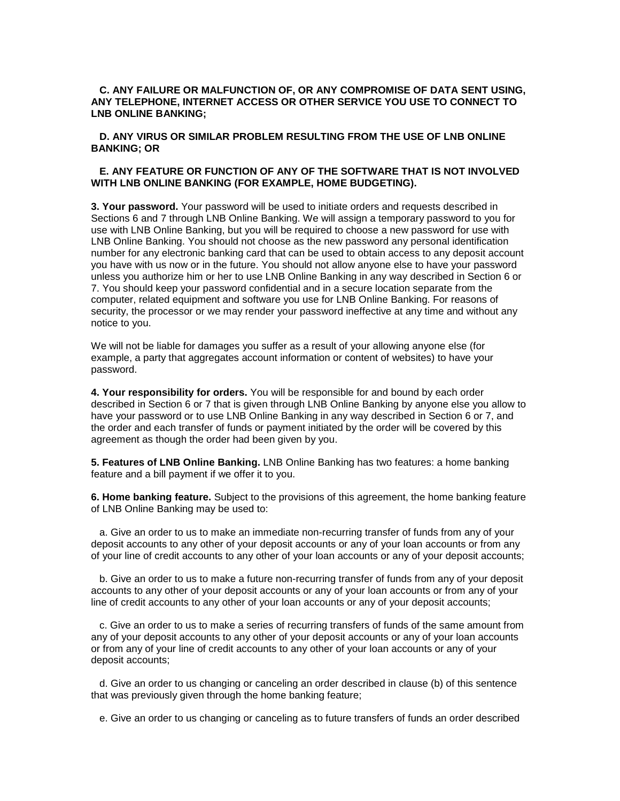### **C. ANY FAILURE OR MALFUNCTION OF, OR ANY COMPROMISE OF DATA SENT USING, ANY TELEPHONE, INTERNET ACCESS OR OTHER SERVICE YOU USE TO CONNECT TO LNB ONLINE BANKING;**

#### **D. ANY VIRUS OR SIMILAR PROBLEM RESULTING FROM THE USE OF LNB ONLINE BANKING; OR**

#### **E. ANY FEATURE OR FUNCTION OF ANY OF THE SOFTWARE THAT IS NOT INVOLVED WITH LNB ONLINE BANKING (FOR EXAMPLE, HOME BUDGETING).**

**3. Your password.** Your password will be used to initiate orders and requests described in Sections 6 and 7 through LNB Online Banking. We will assign a temporary password to you for use with LNB Online Banking, but you will be required to choose a new password for use with LNB Online Banking. You should not choose as the new password any personal identification number for any electronic banking card that can be used to obtain access to any deposit account you have with us now or in the future. You should not allow anyone else to have your password unless you authorize him or her to use LNB Online Banking in any way described in Section 6 or 7. You should keep your password confidential and in a secure location separate from the computer, related equipment and software you use for LNB Online Banking. For reasons of security, the processor or we may render your password ineffective at any time and without any notice to you.

We will not be liable for damages you suffer as a result of your allowing anyone else (for example, a party that aggregates account information or content of websites) to have your password.

**4. Your responsibility for orders.** You will be responsible for and bound by each order described in Section 6 or 7 that is given through LNB Online Banking by anyone else you allow to have your password or to use LNB Online Banking in any way described in Section 6 or 7, and the order and each transfer of funds or payment initiated by the order will be covered by this agreement as though the order had been given by you.

**5. Features of LNB Online Banking.** LNB Online Banking has two features: a home banking feature and a bill payment if we offer it to you.

**6. Home banking feature.** Subject to the provisions of this agreement, the home banking feature of LNB Online Banking may be used to:

 a. Give an order to us to make an immediate non-recurring transfer of funds from any of your deposit accounts to any other of your deposit accounts or any of your loan accounts or from any of your line of credit accounts to any other of your loan accounts or any of your deposit accounts;

 b. Give an order to us to make a future non-recurring transfer of funds from any of your deposit accounts to any other of your deposit accounts or any of your loan accounts or from any of your line of credit accounts to any other of your loan accounts or any of your deposit accounts;

 c. Give an order to us to make a series of recurring transfers of funds of the same amount from any of your deposit accounts to any other of your deposit accounts or any of your loan accounts or from any of your line of credit accounts to any other of your loan accounts or any of your deposit accounts;

 d. Give an order to us changing or canceling an order described in clause (b) of this sentence that was previously given through the home banking feature;

e. Give an order to us changing or canceling as to future transfers of funds an order described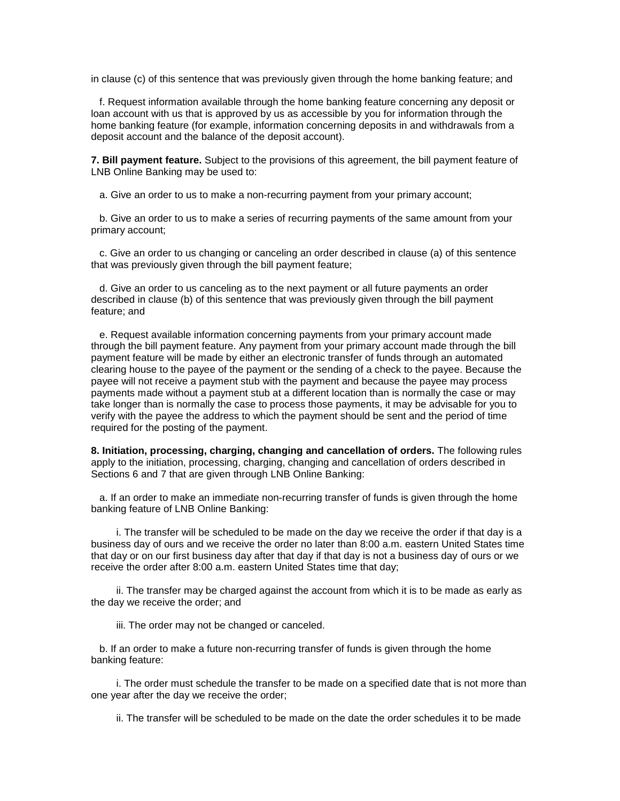in clause (c) of this sentence that was previously given through the home banking feature; and

 f. Request information available through the home banking feature concerning any deposit or loan account with us that is approved by us as accessible by you for information through the home banking feature (for example, information concerning deposits in and withdrawals from a deposit account and the balance of the deposit account).

**7. Bill payment feature.** Subject to the provisions of this agreement, the bill payment feature of LNB Online Banking may be used to:

a. Give an order to us to make a non-recurring payment from your primary account;

 b. Give an order to us to make a series of recurring payments of the same amount from your primary account;

 c. Give an order to us changing or canceling an order described in clause (a) of this sentence that was previously given through the bill payment feature;

 d. Give an order to us canceling as to the next payment or all future payments an order described in clause (b) of this sentence that was previously given through the bill payment feature; and

 e. Request available information concerning payments from your primary account made through the bill payment feature. Any payment from your primary account made through the bill payment feature will be made by either an electronic transfer of funds through an automated clearing house to the payee of the payment or the sending of a check to the payee. Because the payee will not receive a payment stub with the payment and because the payee may process payments made without a payment stub at a different location than is normally the case or may take longer than is normally the case to process those payments, it may be advisable for you to verify with the payee the address to which the payment should be sent and the period of time required for the posting of the payment.

**8. Initiation, processing, charging, changing and cancellation of orders.** The following rules apply to the initiation, processing, charging, changing and cancellation of orders described in Sections 6 and 7 that are given through LNB Online Banking:

 a. If an order to make an immediate non-recurring transfer of funds is given through the home banking feature of LNB Online Banking:

 i. The transfer will be scheduled to be made on the day we receive the order if that day is a business day of ours and we receive the order no later than 8:00 a.m. eastern United States time that day or on our first business day after that day if that day is not a business day of ours or we receive the order after 8:00 a.m. eastern United States time that day;

 ii. The transfer may be charged against the account from which it is to be made as early as the day we receive the order; and

iii. The order may not be changed or canceled.

 b. If an order to make a future non-recurring transfer of funds is given through the home banking feature:

 i. The order must schedule the transfer to be made on a specified date that is not more than one year after the day we receive the order;

ii. The transfer will be scheduled to be made on the date the order schedules it to be made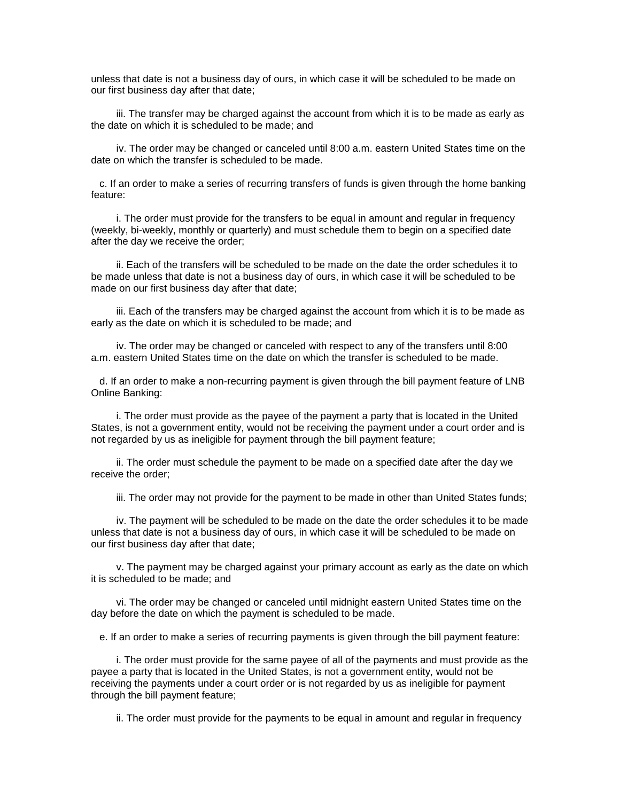unless that date is not a business day of ours, in which case it will be scheduled to be made on our first business day after that date;

 iii. The transfer may be charged against the account from which it is to be made as early as the date on which it is scheduled to be made; and

 iv. The order may be changed or canceled until 8:00 a.m. eastern United States time on the date on which the transfer is scheduled to be made.

 c. If an order to make a series of recurring transfers of funds is given through the home banking feature:

 i. The order must provide for the transfers to be equal in amount and regular in frequency (weekly, bi-weekly, monthly or quarterly) and must schedule them to begin on a specified date after the day we receive the order;

 ii. Each of the transfers will be scheduled to be made on the date the order schedules it to be made unless that date is not a business day of ours, in which case it will be scheduled to be made on our first business day after that date;

 iii. Each of the transfers may be charged against the account from which it is to be made as early as the date on which it is scheduled to be made; and

 iv. The order may be changed or canceled with respect to any of the transfers until 8:00 a.m. eastern United States time on the date on which the transfer is scheduled to be made.

 d. If an order to make a non-recurring payment is given through the bill payment feature of LNB Online Banking:

 i. The order must provide as the payee of the payment a party that is located in the United States, is not a government entity, would not be receiving the payment under a court order and is not regarded by us as ineligible for payment through the bill payment feature;

 ii. The order must schedule the payment to be made on a specified date after the day we receive the order;

iii. The order may not provide for the payment to be made in other than United States funds;

 iv. The payment will be scheduled to be made on the date the order schedules it to be made unless that date is not a business day of ours, in which case it will be scheduled to be made on our first business day after that date;

 v. The payment may be charged against your primary account as early as the date on which it is scheduled to be made; and

 vi. The order may be changed or canceled until midnight eastern United States time on the day before the date on which the payment is scheduled to be made.

e. If an order to make a series of recurring payments is given through the bill payment feature:

 i. The order must provide for the same payee of all of the payments and must provide as the payee a party that is located in the United States, is not a government entity, would not be receiving the payments under a court order or is not regarded by us as ineligible for payment through the bill payment feature;

ii. The order must provide for the payments to be equal in amount and regular in frequency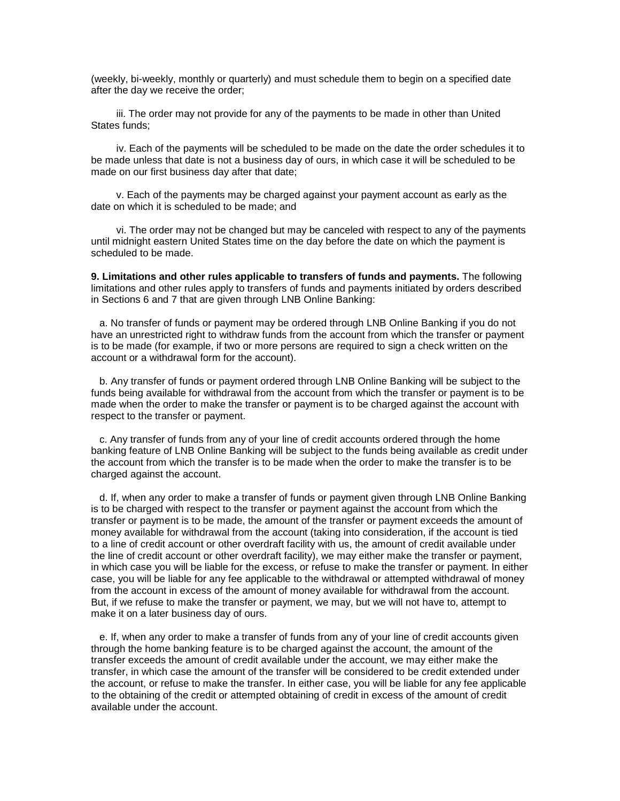(weekly, bi-weekly, monthly or quarterly) and must schedule them to begin on a specified date after the day we receive the order;

 iii. The order may not provide for any of the payments to be made in other than United States funds;

 iv. Each of the payments will be scheduled to be made on the date the order schedules it to be made unless that date is not a business day of ours, in which case it will be scheduled to be made on our first business day after that date;

 v. Each of the payments may be charged against your payment account as early as the date on which it is scheduled to be made; and

 vi. The order may not be changed but may be canceled with respect to any of the payments until midnight eastern United States time on the day before the date on which the payment is scheduled to be made.

**9. Limitations and other rules applicable to transfers of funds and payments.** The following limitations and other rules apply to transfers of funds and payments initiated by orders described in Sections 6 and 7 that are given through LNB Online Banking:

 a. No transfer of funds or payment may be ordered through LNB Online Banking if you do not have an unrestricted right to withdraw funds from the account from which the transfer or payment is to be made (for example, if two or more persons are required to sign a check written on the account or a withdrawal form for the account).

 b. Any transfer of funds or payment ordered through LNB Online Banking will be subject to the funds being available for withdrawal from the account from which the transfer or payment is to be made when the order to make the transfer or payment is to be charged against the account with respect to the transfer or payment.

 c. Any transfer of funds from any of your line of credit accounts ordered through the home banking feature of LNB Online Banking will be subject to the funds being available as credit under the account from which the transfer is to be made when the order to make the transfer is to be charged against the account.

 d. If, when any order to make a transfer of funds or payment given through LNB Online Banking is to be charged with respect to the transfer or payment against the account from which the transfer or payment is to be made, the amount of the transfer or payment exceeds the amount of money available for withdrawal from the account (taking into consideration, if the account is tied to a line of credit account or other overdraft facility with us, the amount of credit available under the line of credit account or other overdraft facility), we may either make the transfer or payment, in which case you will be liable for the excess, or refuse to make the transfer or payment. In either case, you will be liable for any fee applicable to the withdrawal or attempted withdrawal of money from the account in excess of the amount of money available for withdrawal from the account. But, if we refuse to make the transfer or payment, we may, but we will not have to, attempt to make it on a later business day of ours.

 e. If, when any order to make a transfer of funds from any of your line of credit accounts given through the home banking feature is to be charged against the account, the amount of the transfer exceeds the amount of credit available under the account, we may either make the transfer, in which case the amount of the transfer will be considered to be credit extended under the account, or refuse to make the transfer. In either case, you will be liable for any fee applicable to the obtaining of the credit or attempted obtaining of credit in excess of the amount of credit available under the account.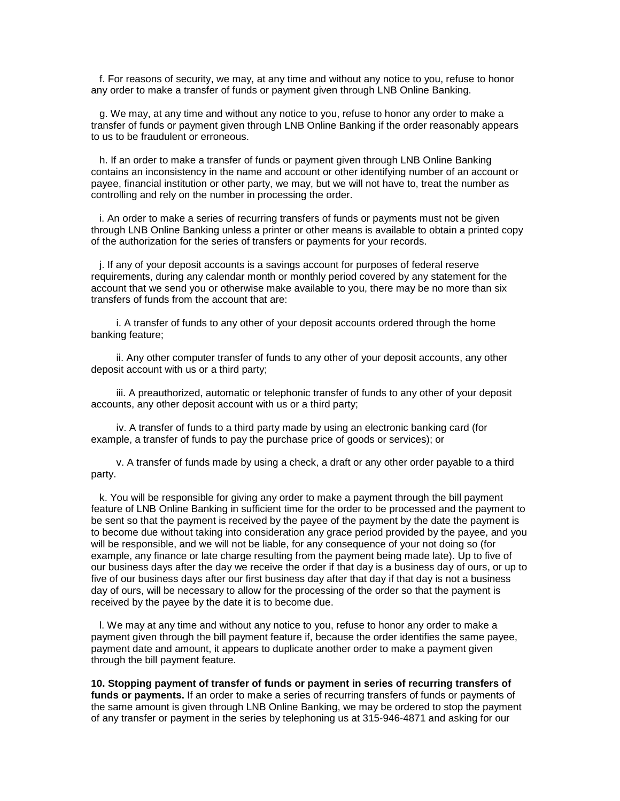f. For reasons of security, we may, at any time and without any notice to you, refuse to honor any order to make a transfer of funds or payment given through LNB Online Banking.

 g. We may, at any time and without any notice to you, refuse to honor any order to make a transfer of funds or payment given through LNB Online Banking if the order reasonably appears to us to be fraudulent or erroneous.

 h. If an order to make a transfer of funds or payment given through LNB Online Banking contains an inconsistency in the name and account or other identifying number of an account or payee, financial institution or other party, we may, but we will not have to, treat the number as controlling and rely on the number in processing the order.

 i. An order to make a series of recurring transfers of funds or payments must not be given through LNB Online Banking unless a printer or other means is available to obtain a printed copy of the authorization for the series of transfers or payments for your records.

 j. If any of your deposit accounts is a savings account for purposes of federal reserve requirements, during any calendar month or monthly period covered by any statement for the account that we send you or otherwise make available to you, there may be no more than six transfers of funds from the account that are:

 i. A transfer of funds to any other of your deposit accounts ordered through the home banking feature;

 ii. Any other computer transfer of funds to any other of your deposit accounts, any other deposit account with us or a third party;

 iii. A preauthorized, automatic or telephonic transfer of funds to any other of your deposit accounts, any other deposit account with us or a third party;

 iv. A transfer of funds to a third party made by using an electronic banking card (for example, a transfer of funds to pay the purchase price of goods or services); or

 v. A transfer of funds made by using a check, a draft or any other order payable to a third party.

 k. You will be responsible for giving any order to make a payment through the bill payment feature of LNB Online Banking in sufficient time for the order to be processed and the payment to be sent so that the payment is received by the payee of the payment by the date the payment is to become due without taking into consideration any grace period provided by the payee, and you will be responsible, and we will not be liable, for any consequence of your not doing so (for example, any finance or late charge resulting from the payment being made late). Up to five of our business days after the day we receive the order if that day is a business day of ours, or up to five of our business days after our first business day after that day if that day is not a business day of ours, will be necessary to allow for the processing of the order so that the payment is received by the payee by the date it is to become due.

 l. We may at any time and without any notice to you, refuse to honor any order to make a payment given through the bill payment feature if, because the order identifies the same payee, payment date and amount, it appears to duplicate another order to make a payment given through the bill payment feature.

**10. Stopping payment of transfer of funds or payment in series of recurring transfers of funds or payments.** If an order to make a series of recurring transfers of funds or payments of the same amount is given through LNB Online Banking, we may be ordered to stop the payment of any transfer or payment in the series by telephoning us at 315-946-4871 and asking for our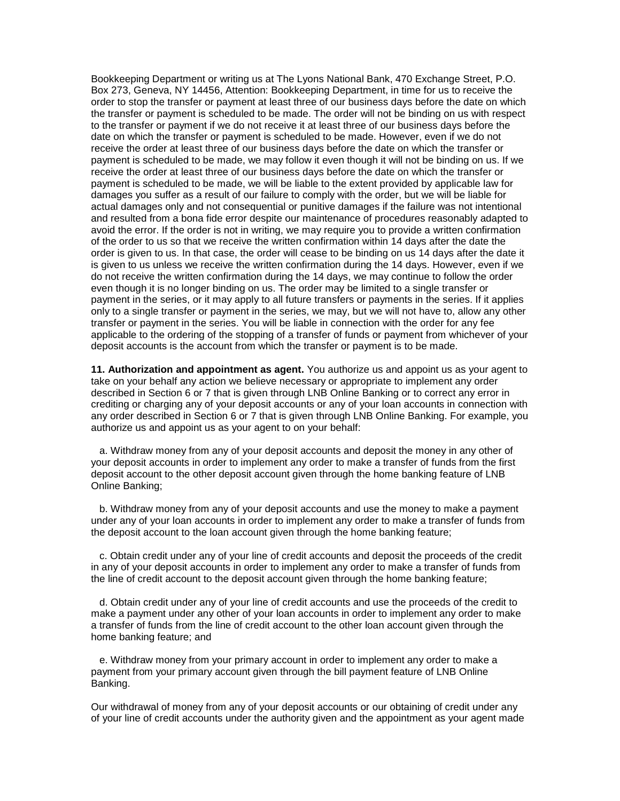Bookkeeping Department or writing us at The Lyons National Bank, 470 Exchange Street, P.O. Box 273, Geneva, NY 14456, Attention: Bookkeeping Department, in time for us to receive the order to stop the transfer or payment at least three of our business days before the date on which the transfer or payment is scheduled to be made. The order will not be binding on us with respect to the transfer or payment if we do not receive it at least three of our business days before the date on which the transfer or payment is scheduled to be made. However, even if we do not receive the order at least three of our business days before the date on which the transfer or payment is scheduled to be made, we may follow it even though it will not be binding on us. If we receive the order at least three of our business days before the date on which the transfer or payment is scheduled to be made, we will be liable to the extent provided by applicable law for damages you suffer as a result of our failure to comply with the order, but we will be liable for actual damages only and not consequential or punitive damages if the failure was not intentional and resulted from a bona fide error despite our maintenance of procedures reasonably adapted to avoid the error. If the order is not in writing, we may require you to provide a written confirmation of the order to us so that we receive the written confirmation within 14 days after the date the order is given to us. In that case, the order will cease to be binding on us 14 days after the date it is given to us unless we receive the written confirmation during the 14 days. However, even if we do not receive the written confirmation during the 14 days, we may continue to follow the order even though it is no longer binding on us. The order may be limited to a single transfer or payment in the series, or it may apply to all future transfers or payments in the series. If it applies only to a single transfer or payment in the series, we may, but we will not have to, allow any other transfer or payment in the series. You will be liable in connection with the order for any fee applicable to the ordering of the stopping of a transfer of funds or payment from whichever of your deposit accounts is the account from which the transfer or payment is to be made.

**11. Authorization and appointment as agent.** You authorize us and appoint us as your agent to take on your behalf any action we believe necessary or appropriate to implement any order described in Section 6 or 7 that is given through LNB Online Banking or to correct any error in crediting or charging any of your deposit accounts or any of your loan accounts in connection with any order described in Section 6 or 7 that is given through LNB Online Banking. For example, you authorize us and appoint us as your agent to on your behalf:

 a. Withdraw money from any of your deposit accounts and deposit the money in any other of your deposit accounts in order to implement any order to make a transfer of funds from the first deposit account to the other deposit account given through the home banking feature of LNB Online Banking;

 b. Withdraw money from any of your deposit accounts and use the money to make a payment under any of your loan accounts in order to implement any order to make a transfer of funds from the deposit account to the loan account given through the home banking feature;

 c. Obtain credit under any of your line of credit accounts and deposit the proceeds of the credit in any of your deposit accounts in order to implement any order to make a transfer of funds from the line of credit account to the deposit account given through the home banking feature;

 d. Obtain credit under any of your line of credit accounts and use the proceeds of the credit to make a payment under any other of your loan accounts in order to implement any order to make a transfer of funds from the line of credit account to the other loan account given through the home banking feature; and

 e. Withdraw money from your primary account in order to implement any order to make a payment from your primary account given through the bill payment feature of LNB Online Banking.

Our withdrawal of money from any of your deposit accounts or our obtaining of credit under any of your line of credit accounts under the authority given and the appointment as your agent made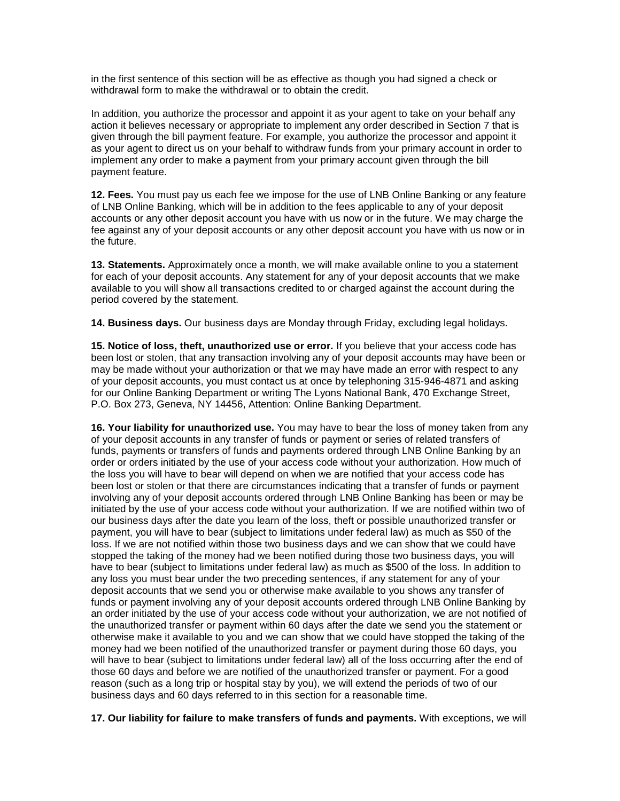in the first sentence of this section will be as effective as though you had signed a check or withdrawal form to make the withdrawal or to obtain the credit.

In addition, you authorize the processor and appoint it as your agent to take on your behalf any action it believes necessary or appropriate to implement any order described in Section 7 that is given through the bill payment feature. For example, you authorize the processor and appoint it as your agent to direct us on your behalf to withdraw funds from your primary account in order to implement any order to make a payment from your primary account given through the bill payment feature.

**12. Fees.** You must pay us each fee we impose for the use of LNB Online Banking or any feature of LNB Online Banking, which will be in addition to the fees applicable to any of your deposit accounts or any other deposit account you have with us now or in the future. We may charge the fee against any of your deposit accounts or any other deposit account you have with us now or in the future.

**13. Statements.** Approximately once a month, we will make available online to you a statement for each of your deposit accounts. Any statement for any of your deposit accounts that we make available to you will show all transactions credited to or charged against the account during the period covered by the statement.

**14. Business days.** Our business days are Monday through Friday, excluding legal holidays.

**15. Notice of loss, theft, unauthorized use or error.** If you believe that your access code has been lost or stolen, that any transaction involving any of your deposit accounts may have been or may be made without your authorization or that we may have made an error with respect to any of your deposit accounts, you must contact us at once by telephoning 315-946-4871 and asking for our Online Banking Department or writing The Lyons National Bank, 470 Exchange Street, P.O. Box 273, Geneva, NY 14456, Attention: Online Banking Department.

**16. Your liability for unauthorized use.** You may have to bear the loss of money taken from any of your deposit accounts in any transfer of funds or payment or series of related transfers of funds, payments or transfers of funds and payments ordered through LNB Online Banking by an order or orders initiated by the use of your access code without your authorization. How much of the loss you will have to bear will depend on when we are notified that your access code has been lost or stolen or that there are circumstances indicating that a transfer of funds or payment involving any of your deposit accounts ordered through LNB Online Banking has been or may be initiated by the use of your access code without your authorization. If we are notified within two of our business days after the date you learn of the loss, theft or possible unauthorized transfer or payment, you will have to bear (subject to limitations under federal law) as much as \$50 of the loss. If we are not notified within those two business days and we can show that we could have stopped the taking of the money had we been notified during those two business days, you will have to bear (subject to limitations under federal law) as much as \$500 of the loss. In addition to any loss you must bear under the two preceding sentences, if any statement for any of your deposit accounts that we send you or otherwise make available to you shows any transfer of funds or payment involving any of your deposit accounts ordered through LNB Online Banking by an order initiated by the use of your access code without your authorization, we are not notified of the unauthorized transfer or payment within 60 days after the date we send you the statement or otherwise make it available to you and we can show that we could have stopped the taking of the money had we been notified of the unauthorized transfer or payment during those 60 days, you will have to bear (subject to limitations under federal law) all of the loss occurring after the end of those 60 days and before we are notified of the unauthorized transfer or payment. For a good reason (such as a long trip or hospital stay by you), we will extend the periods of two of our business days and 60 days referred to in this section for a reasonable time.

**17. Our liability for failure to make transfers of funds and payments.** With exceptions, we will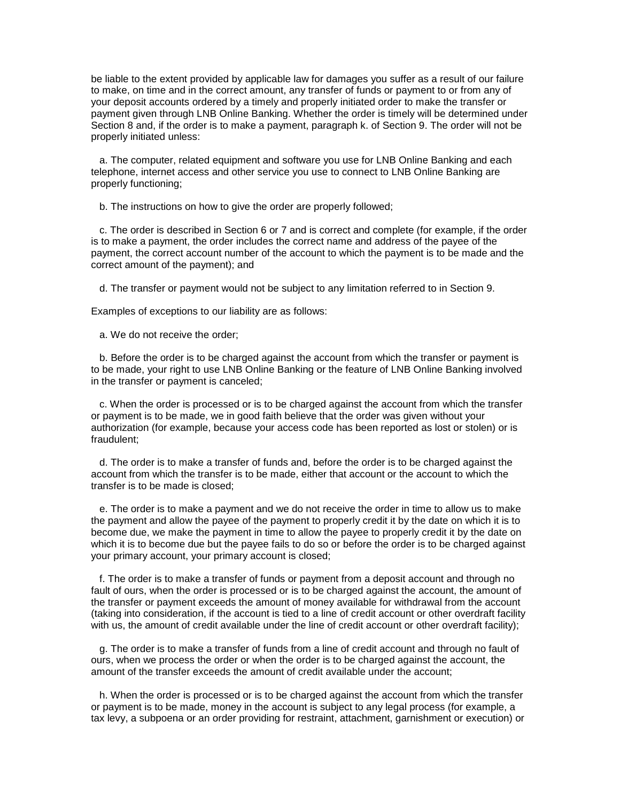be liable to the extent provided by applicable law for damages you suffer as a result of our failure to make, on time and in the correct amount, any transfer of funds or payment to or from any of your deposit accounts ordered by a timely and properly initiated order to make the transfer or payment given through LNB Online Banking. Whether the order is timely will be determined under Section 8 and, if the order is to make a payment, paragraph k. of Section 9. The order will not be properly initiated unless:

 a. The computer, related equipment and software you use for LNB Online Banking and each telephone, internet access and other service you use to connect to LNB Online Banking are properly functioning;

b. The instructions on how to give the order are properly followed;

 c. The order is described in Section 6 or 7 and is correct and complete (for example, if the order is to make a payment, the order includes the correct name and address of the payee of the payment, the correct account number of the account to which the payment is to be made and the correct amount of the payment); and

d. The transfer or payment would not be subject to any limitation referred to in Section 9.

Examples of exceptions to our liability are as follows:

a. We do not receive the order;

 b. Before the order is to be charged against the account from which the transfer or payment is to be made, your right to use LNB Online Banking or the feature of LNB Online Banking involved in the transfer or payment is canceled;

 c. When the order is processed or is to be charged against the account from which the transfer or payment is to be made, we in good faith believe that the order was given without your authorization (for example, because your access code has been reported as lost or stolen) or is fraudulent;

 d. The order is to make a transfer of funds and, before the order is to be charged against the account from which the transfer is to be made, either that account or the account to which the transfer is to be made is closed;

 e. The order is to make a payment and we do not receive the order in time to allow us to make the payment and allow the payee of the payment to properly credit it by the date on which it is to become due, we make the payment in time to allow the payee to properly credit it by the date on which it is to become due but the payee fails to do so or before the order is to be charged against your primary account, your primary account is closed;

 f. The order is to make a transfer of funds or payment from a deposit account and through no fault of ours, when the order is processed or is to be charged against the account, the amount of the transfer or payment exceeds the amount of money available for withdrawal from the account (taking into consideration, if the account is tied to a line of credit account or other overdraft facility with us, the amount of credit available under the line of credit account or other overdraft facility);

 g. The order is to make a transfer of funds from a line of credit account and through no fault of ours, when we process the order or when the order is to be charged against the account, the amount of the transfer exceeds the amount of credit available under the account;

 h. When the order is processed or is to be charged against the account from which the transfer or payment is to be made, money in the account is subject to any legal process (for example, a tax levy, a subpoena or an order providing for restraint, attachment, garnishment or execution) or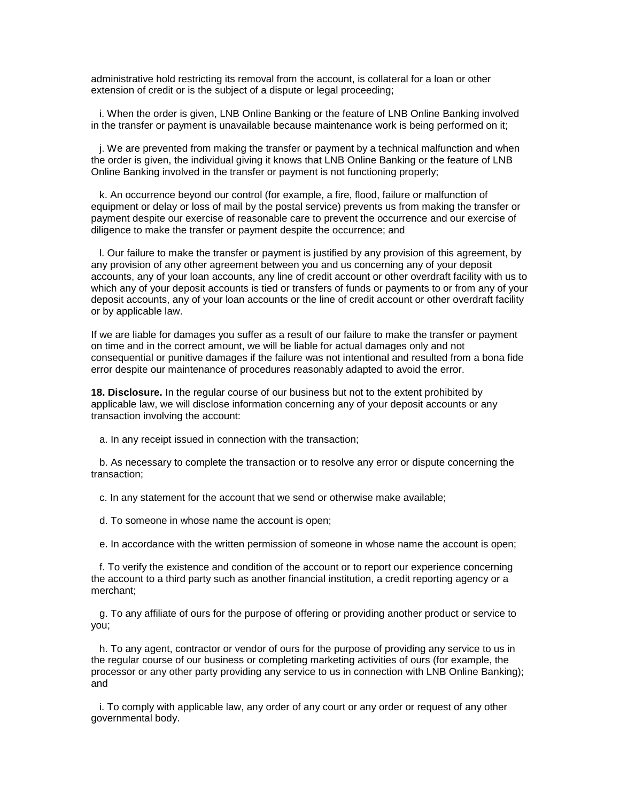administrative hold restricting its removal from the account, is collateral for a loan or other extension of credit or is the subiect of a dispute or legal proceeding:

 i. When the order is given, LNB Online Banking or the feature of LNB Online Banking involved in the transfer or payment is unavailable because maintenance work is being performed on it;

 j. We are prevented from making the transfer or payment by a technical malfunction and when the order is given, the individual giving it knows that LNB Online Banking or the feature of LNB Online Banking involved in the transfer or payment is not functioning properly;

 k. An occurrence beyond our control (for example, a fire, flood, failure or malfunction of equipment or delay or loss of mail by the postal service) prevents us from making the transfer or payment despite our exercise of reasonable care to prevent the occurrence and our exercise of diligence to make the transfer or payment despite the occurrence; and

 l. Our failure to make the transfer or payment is justified by any provision of this agreement, by any provision of any other agreement between you and us concerning any of your deposit accounts, any of your loan accounts, any line of credit account or other overdraft facility with us to which any of your deposit accounts is tied or transfers of funds or payments to or from any of your deposit accounts, any of your loan accounts or the line of credit account or other overdraft facility or by applicable law.

If we are liable for damages you suffer as a result of our failure to make the transfer or payment on time and in the correct amount, we will be liable for actual damages only and not consequential or punitive damages if the failure was not intentional and resulted from a bona fide error despite our maintenance of procedures reasonably adapted to avoid the error.

**18. Disclosure.** In the regular course of our business but not to the extent prohibited by applicable law, we will disclose information concerning any of your deposit accounts or any transaction involving the account:

a. In any receipt issued in connection with the transaction;

 b. As necessary to complete the transaction or to resolve any error or dispute concerning the transaction;

c. In any statement for the account that we send or otherwise make available;

d. To someone in whose name the account is open;

e. In accordance with the written permission of someone in whose name the account is open;

 f. To verify the existence and condition of the account or to report our experience concerning the account to a third party such as another financial institution, a credit reporting agency or a merchant;

 g. To any affiliate of ours for the purpose of offering or providing another product or service to you;

 h. To any agent, contractor or vendor of ours for the purpose of providing any service to us in the regular course of our business or completing marketing activities of ours (for example, the processor or any other party providing any service to us in connection with LNB Online Banking); and

 i. To comply with applicable law, any order of any court or any order or request of any other governmental body.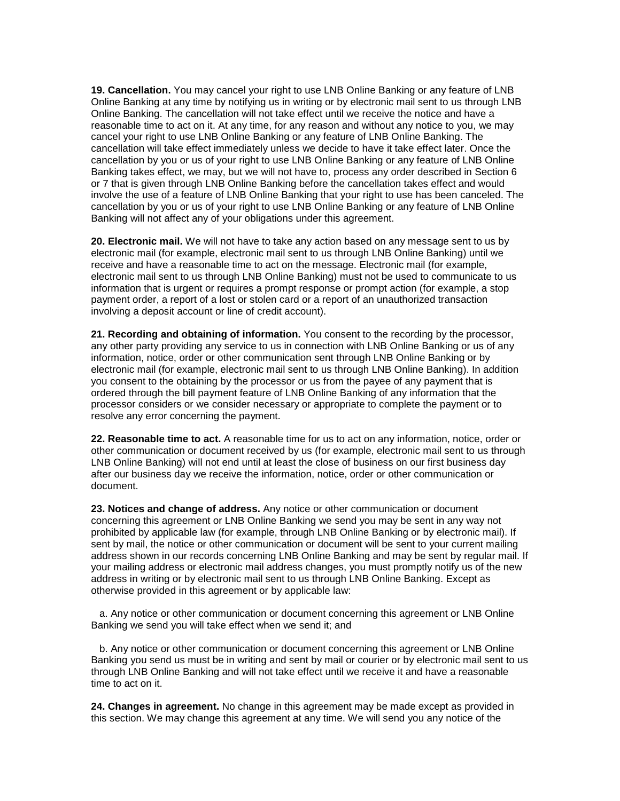**19. Cancellation.** You may cancel your right to use LNB Online Banking or any feature of LNB Online Banking at any time by notifying us in writing or by electronic mail sent to us through LNB Online Banking. The cancellation will not take effect until we receive the notice and have a reasonable time to act on it. At any time, for any reason and without any notice to you, we may cancel your right to use LNB Online Banking or any feature of LNB Online Banking. The cancellation will take effect immediately unless we decide to have it take effect later. Once the cancellation by you or us of your right to use LNB Online Banking or any feature of LNB Online Banking takes effect, we may, but we will not have to, process any order described in Section 6 or 7 that is given through LNB Online Banking before the cancellation takes effect and would involve the use of a feature of LNB Online Banking that your right to use has been canceled. The cancellation by you or us of your right to use LNB Online Banking or any feature of LNB Online Banking will not affect any of your obligations under this agreement.

**20. Electronic mail.** We will not have to take any action based on any message sent to us by electronic mail (for example, electronic mail sent to us through LNB Online Banking) until we receive and have a reasonable time to act on the message. Electronic mail (for example, electronic mail sent to us through LNB Online Banking) must not be used to communicate to us information that is urgent or requires a prompt response or prompt action (for example, a stop payment order, a report of a lost or stolen card or a report of an unauthorized transaction involving a deposit account or line of credit account).

**21. Recording and obtaining of information.** You consent to the recording by the processor, any other party providing any service to us in connection with LNB Online Banking or us of any information, notice, order or other communication sent through LNB Online Banking or by electronic mail (for example, electronic mail sent to us through LNB Online Banking). In addition you consent to the obtaining by the processor or us from the payee of any payment that is ordered through the bill payment feature of LNB Online Banking of any information that the processor considers or we consider necessary or appropriate to complete the payment or to resolve any error concerning the payment.

**22. Reasonable time to act.** A reasonable time for us to act on any information, notice, order or other communication or document received by us (for example, electronic mail sent to us through LNB Online Banking) will not end until at least the close of business on our first business day after our business day we receive the information, notice, order or other communication or document.

**23. Notices and change of address.** Any notice or other communication or document concerning this agreement or LNB Online Banking we send you may be sent in any way not prohibited by applicable law (for example, through LNB Online Banking or by electronic mail). If sent by mail, the notice or other communication or document will be sent to your current mailing address shown in our records concerning LNB Online Banking and may be sent by regular mail. If your mailing address or electronic mail address changes, you must promptly notify us of the new address in writing or by electronic mail sent to us through LNB Online Banking. Except as otherwise provided in this agreement or by applicable law:

 a. Any notice or other communication or document concerning this agreement or LNB Online Banking we send you will take effect when we send it; and

 b. Any notice or other communication or document concerning this agreement or LNB Online Banking you send us must be in writing and sent by mail or courier or by electronic mail sent to us through LNB Online Banking and will not take effect until we receive it and have a reasonable time to act on it.

**24. Changes in agreement.** No change in this agreement may be made except as provided in this section. We may change this agreement at any time. We will send you any notice of the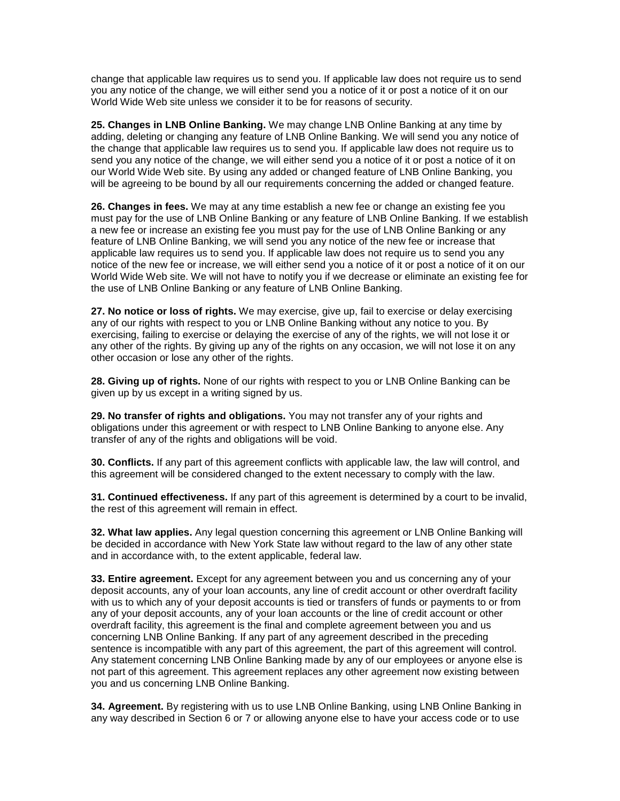change that applicable law requires us to send you. If applicable law does not require us to send you any notice of the change, we will either send you a notice of it or post a notice of it on our World Wide Web site unless we consider it to be for reasons of security.

**25. Changes in LNB Online Banking.** We may change LNB Online Banking at any time by adding, deleting or changing any feature of LNB Online Banking. We will send you any notice of the change that applicable law requires us to send you. If applicable law does not require us to send you any notice of the change, we will either send you a notice of it or post a notice of it on our World Wide Web site. By using any added or changed feature of LNB Online Banking, you will be agreeing to be bound by all our requirements concerning the added or changed feature.

**26. Changes in fees.** We may at any time establish a new fee or change an existing fee you must pay for the use of LNB Online Banking or any feature of LNB Online Banking. If we establish a new fee or increase an existing fee you must pay for the use of LNB Online Banking or any feature of LNB Online Banking, we will send you any notice of the new fee or increase that applicable law requires us to send you. If applicable law does not require us to send you any notice of the new fee or increase, we will either send you a notice of it or post a notice of it on our World Wide Web site. We will not have to notify you if we decrease or eliminate an existing fee for the use of LNB Online Banking or any feature of LNB Online Banking.

**27. No notice or loss of rights.** We may exercise, give up, fail to exercise or delay exercising any of our rights with respect to you or LNB Online Banking without any notice to you. By exercising, failing to exercise or delaying the exercise of any of the rights, we will not lose it or any other of the rights. By giving up any of the rights on any occasion, we will not lose it on any other occasion or lose any other of the rights.

**28. Giving up of rights.** None of our rights with respect to you or LNB Online Banking can be given up by us except in a writing signed by us.

**29. No transfer of rights and obligations.** You may not transfer any of your rights and obligations under this agreement or with respect to LNB Online Banking to anyone else. Any transfer of any of the rights and obligations will be void.

**30. Conflicts.** If any part of this agreement conflicts with applicable law, the law will control, and this agreement will be considered changed to the extent necessary to comply with the law.

**31. Continued effectiveness.** If any part of this agreement is determined by a court to be invalid, the rest of this agreement will remain in effect.

**32. What law applies.** Any legal question concerning this agreement or LNB Online Banking will be decided in accordance with New York State law without regard to the law of any other state and in accordance with, to the extent applicable, federal law.

**33. Entire agreement.** Except for any agreement between you and us concerning any of your deposit accounts, any of your loan accounts, any line of credit account or other overdraft facility with us to which any of your deposit accounts is tied or transfers of funds or payments to or from any of your deposit accounts, any of your loan accounts or the line of credit account or other overdraft facility, this agreement is the final and complete agreement between you and us concerning LNB Online Banking. If any part of any agreement described in the preceding sentence is incompatible with any part of this agreement, the part of this agreement will control. Any statement concerning LNB Online Banking made by any of our employees or anyone else is not part of this agreement. This agreement replaces any other agreement now existing between you and us concerning LNB Online Banking.

**34. Agreement.** By registering with us to use LNB Online Banking, using LNB Online Banking in any way described in Section 6 or 7 or allowing anyone else to have your access code or to use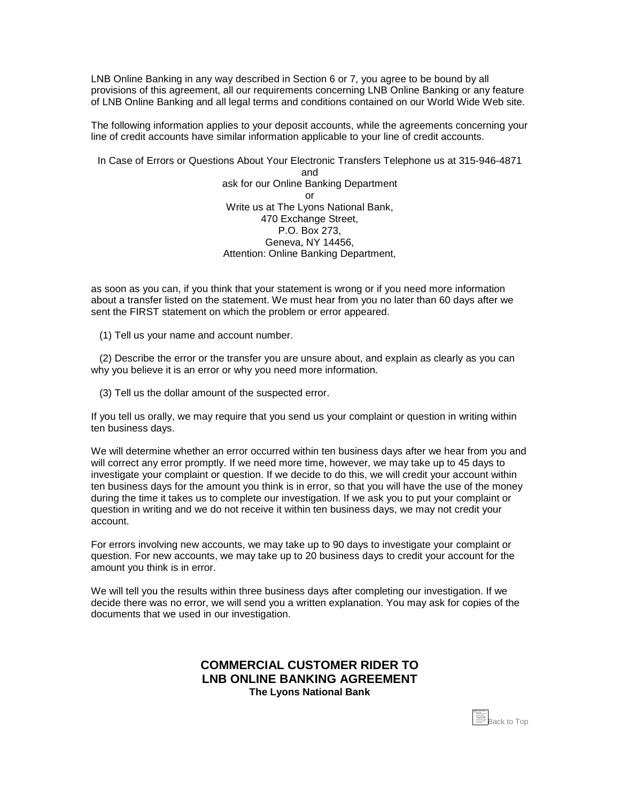<span id="page-12-0"></span>LNB Online Banking in any way described in Section 6 or 7, you agree to be bound by all provisions of this agreement, all our requirements concerning LNB Online Banking or any feature of LNB Online Banking and all legal terms and conditions contained on our World Wide Web site.

The following information applies to your deposit accounts, while the agreements concerning your line of credit accounts have similar information applicable to your line of credit accounts.

In Case of Errors or Questions About Your Electronic Transfers Telephone us at 315-946-4871 and ask for our Online Banking Department or Write us at The Lyons National Bank, 470 Exchange Street, P.O. Box 273, Geneva, NY 14456, Attention: Online Banking Department,

as soon as you can, if you think that your statement is wrong or if you need more information about a transfer listed on the statement. We must hear from you no later than 60 days after we sent the FIRST statement on which the problem or error appeared.

(1) Tell us your name and account number.

 (2) Describe the error or the transfer you are unsure about, and explain as clearly as you can why you believe it is an error or why you need more information.

(3) Tell us the dollar amount of the suspected error.

If you tell us orally, we may require that you send us your complaint or question in writing within ten business days.

We will determine whether an error occurred within ten business days after we hear from you and will correct any error promptly. If we need more time, however, we may take up to 45 days to investigate your complaint or question. If we decide to do this, we will credit your account within ten business days for the amount you think is in error, so that you will have the use of the money during the time it takes us to complete our investigation. If we ask you to put your complaint or question in writing and we do not receive it within ten business days, we may not credit your account.

For errors involving new accounts, we may take up to 90 days to investigate your complaint or question. For new accounts, we may take up to 20 business days to credit your account for the amount you think is in error.

We will tell you the results within three business days after completing our investigation. If we decide there was no error, we will send you a written explanation. You may ask for copies of the documents that we used in our investigation.

## **COMMERCIAL CUSTOMER RIDER TO LNB ONLINE BANKING AGREEMENT The Lyons National Bank**

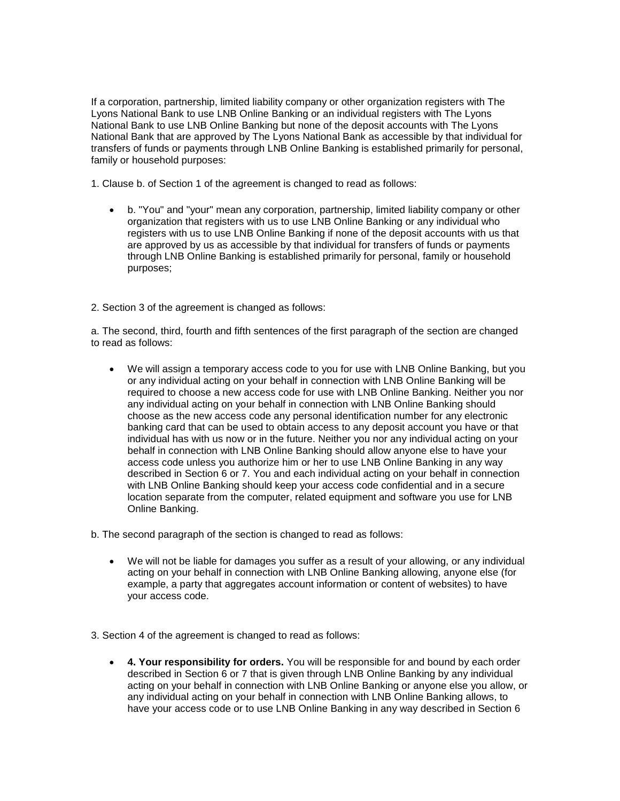If a corporation, partnership, limited liability company or other organization registers with The Lyons National Bank to use LNB Online Banking or an individual registers with The Lyons National Bank to use LNB Online Banking but none of the deposit accounts with The Lyons National Bank that are approved by The Lyons National Bank as accessible by that individual for transfers of funds or payments through LNB Online Banking is established primarily for personal, family or household purposes:

1. Clause b. of Section 1 of the agreement is changed to read as follows:

- b. "You" and "your" mean any corporation, partnership, limited liability company or other organization that registers with us to use LNB Online Banking or any individual who registers with us to use LNB Online Banking if none of the deposit accounts with us that are approved by us as accessible by that individual for transfers of funds or payments through LNB Online Banking is established primarily for personal, family or household purposes;
- 2. Section 3 of the agreement is changed as follows:

a. The second, third, fourth and fifth sentences of the first paragraph of the section are changed to read as follows:

 We will assign a temporary access code to you for use with LNB Online Banking, but you or any individual acting on your behalf in connection with LNB Online Banking will be required to choose a new access code for use with LNB Online Banking. Neither you nor any individual acting on your behalf in connection with LNB Online Banking should choose as the new access code any personal identification number for any electronic banking card that can be used to obtain access to any deposit account you have or that individual has with us now or in the future. Neither you nor any individual acting on your behalf in connection with LNB Online Banking should allow anyone else to have your access code unless you authorize him or her to use LNB Online Banking in any way described in Section 6 or 7. You and each individual acting on your behalf in connection with LNB Online Banking should keep your access code confidential and in a secure location separate from the computer, related equipment and software you use for LNB Online Banking.

b. The second paragraph of the section is changed to read as follows:

- We will not be liable for damages you suffer as a result of your allowing, or any individual acting on your behalf in connection with LNB Online Banking allowing, anyone else (for example, a party that aggregates account information or content of websites) to have your access code.
- 3. Section 4 of the agreement is changed to read as follows:
	- **4. Your responsibility for orders.** You will be responsible for and bound by each order described in Section 6 or 7 that is given through LNB Online Banking by any individual acting on your behalf in connection with LNB Online Banking or anyone else you allow, or any individual acting on your behalf in connection with LNB Online Banking allows, to have your access code or to use LNB Online Banking in any way described in Section 6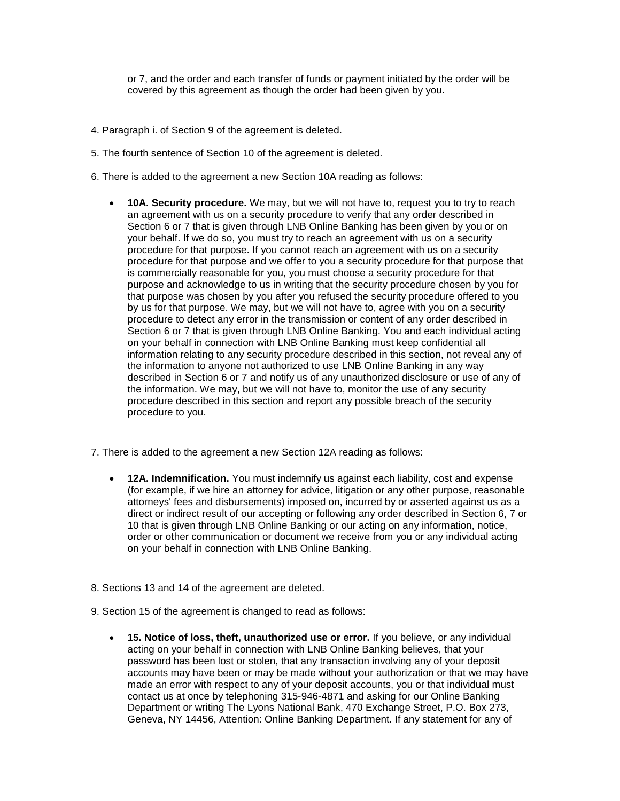or 7, and the order and each transfer of funds or payment initiated by the order will be covered by this agreement as though the order had been given by you.

- 4. Paragraph i. of Section 9 of the agreement is deleted.
- 5. The fourth sentence of Section 10 of the agreement is deleted.
- 6. There is added to the agreement a new Section 10A reading as follows:
	- **10A. Security procedure.** We may, but we will not have to, request you to try to reach an agreement with us on a security procedure to verify that any order described in Section 6 or 7 that is given through LNB Online Banking has been given by you or on your behalf. If we do so, you must try to reach an agreement with us on a security procedure for that purpose. If you cannot reach an agreement with us on a security procedure for that purpose and we offer to you a security procedure for that purpose that is commercially reasonable for you, you must choose a security procedure for that purpose and acknowledge to us in writing that the security procedure chosen by you for that purpose was chosen by you after you refused the security procedure offered to you by us for that purpose. We may, but we will not have to, agree with you on a security procedure to detect any error in the transmission or content of any order described in Section 6 or 7 that is given through LNB Online Banking. You and each individual acting on your behalf in connection with LNB Online Banking must keep confidential all information relating to any security procedure described in this section, not reveal any of the information to anyone not authorized to use LNB Online Banking in any way described in Section 6 or 7 and notify us of any unauthorized disclosure or use of any of the information. We may, but we will not have to, monitor the use of any security procedure described in this section and report any possible breach of the security procedure to you.
- 7. There is added to the agreement a new Section 12A reading as follows:
	- **12A. Indemnification.** You must indemnify us against each liability, cost and expense (for example, if we hire an attorney for advice, litigation or any other purpose, reasonable attorneys' fees and disbursements) imposed on, incurred by or asserted against us as a direct or indirect result of our accepting or following any order described in Section 6, 7 or 10 that is given through LNB Online Banking or our acting on any information, notice, order or other communication or document we receive from you or any individual acting on your behalf in connection with LNB Online Banking.
- 8. Sections 13 and 14 of the agreement are deleted.
- 9. Section 15 of the agreement is changed to read as follows:
	- **15. Notice of loss, theft, unauthorized use or error.** If you believe, or any individual acting on your behalf in connection with LNB Online Banking believes, that your password has been lost or stolen, that any transaction involving any of your deposit accounts may have been or may be made without your authorization or that we may have made an error with respect to any of your deposit accounts, you or that individual must contact us at once by telephoning 315-946-4871 and asking for our Online Banking Department or writing The Lyons National Bank, 470 Exchange Street, P.O. Box 273, Geneva, NY 14456, Attention: Online Banking Department. If any statement for any of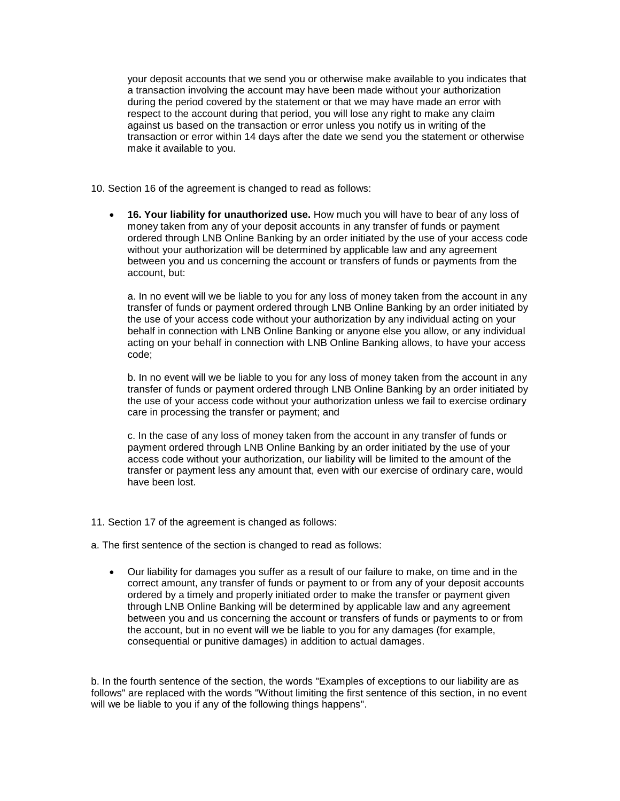your deposit accounts that we send you or otherwise make available to you indicates that a transaction involving the account may have been made without your authorization during the period covered by the statement or that we may have made an error with respect to the account during that period, you will lose any right to make any claim against us based on the transaction or error unless you notify us in writing of the transaction or error within 14 days after the date we send you the statement or otherwise make it available to you.

- 10. Section 16 of the agreement is changed to read as follows:
	- **16. Your liability for unauthorized use.** How much you will have to bear of any loss of money taken from any of your deposit accounts in any transfer of funds or payment ordered through LNB Online Banking by an order initiated by the use of your access code without your authorization will be determined by applicable law and any agreement between you and us concerning the account or transfers of funds or payments from the account, but:

a. In no event will we be liable to you for any loss of money taken from the account in any transfer of funds or payment ordered through LNB Online Banking by an order initiated by the use of your access code without your authorization by any individual acting on your behalf in connection with LNB Online Banking or anyone else you allow, or any individual acting on your behalf in connection with LNB Online Banking allows, to have your access code;

b. In no event will we be liable to you for any loss of money taken from the account in any transfer of funds or payment ordered through LNB Online Banking by an order initiated by the use of your access code without your authorization unless we fail to exercise ordinary care in processing the transfer or payment; and

c. In the case of any loss of money taken from the account in any transfer of funds or payment ordered through LNB Online Banking by an order initiated by the use of your access code without your authorization, our liability will be limited to the amount of the transfer or payment less any amount that, even with our exercise of ordinary care, would have been lost.

- 11. Section 17 of the agreement is changed as follows:
- a. The first sentence of the section is changed to read as follows:
	- Our liability for damages you suffer as a result of our failure to make, on time and in the correct amount, any transfer of funds or payment to or from any of your deposit accounts ordered by a timely and properly initiated order to make the transfer or payment given through LNB Online Banking will be determined by applicable law and any agreement between you and us concerning the account or transfers of funds or payments to or from the account, but in no event will we be liable to you for any damages (for example, consequential or punitive damages) in addition to actual damages.

b. In the fourth sentence of the section, the words "Examples of exceptions to our liability are as follows" are replaced with the words "Without limiting the first sentence of this section, in no event will we be liable to you if any of the following things happens".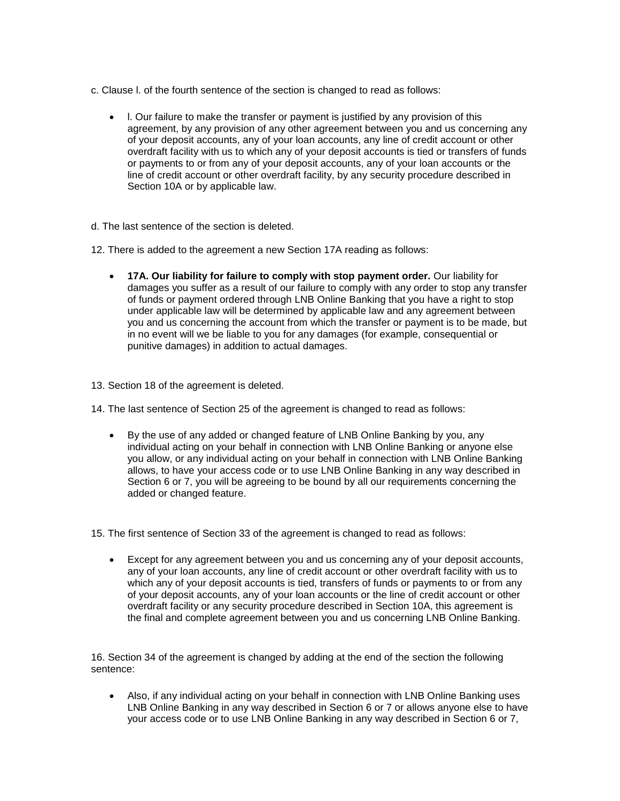- c. Clause l. of the fourth sentence of the section is changed to read as follows:
	- l. Our failure to make the transfer or payment is justified by any provision of this agreement, by any provision of any other agreement between you and us concerning any of your deposit accounts, any of your loan accounts, any line of credit account or other overdraft facility with us to which any of your deposit accounts is tied or transfers of funds or payments to or from any of your deposit accounts, any of your loan accounts or the line of credit account or other overdraft facility, by any security procedure described in Section 10A or by applicable law.
- d. The last sentence of the section is deleted.
- 12. There is added to the agreement a new Section 17A reading as follows:
	- **17A. Our liability for failure to comply with stop payment order.** Our liability for damages you suffer as a result of our failure to comply with any order to stop any transfer of funds or payment ordered through LNB Online Banking that you have a right to stop under applicable law will be determined by applicable law and any agreement between you and us concerning the account from which the transfer or payment is to be made, but in no event will we be liable to you for any damages (for example, consequential or punitive damages) in addition to actual damages.
- 13. Section 18 of the agreement is deleted.
- 14. The last sentence of Section 25 of the agreement is changed to read as follows:
	- By the use of any added or changed feature of LNB Online Banking by you, any individual acting on your behalf in connection with LNB Online Banking or anyone else you allow, or any individual acting on your behalf in connection with LNB Online Banking allows, to have your access code or to use LNB Online Banking in any way described in Section 6 or 7, you will be agreeing to be bound by all our requirements concerning the added or changed feature.

15. The first sentence of Section 33 of the agreement is changed to read as follows:

 Except for any agreement between you and us concerning any of your deposit accounts, any of your loan accounts, any line of credit account or other overdraft facility with us to which any of your deposit accounts is tied, transfers of funds or payments to or from any of your deposit accounts, any of your loan accounts or the line of credit account or other overdraft facility or any security procedure described in Section 10A, this agreement is the final and complete agreement between you and us concerning LNB Online Banking.

16. Section 34 of the agreement is changed by adding at the end of the section the following sentence:

 Also, if any individual acting on your behalf in connection with LNB Online Banking uses LNB Online Banking in any way described in Section 6 or 7 or allows anyone else to have your access code or to use LNB Online Banking in any way described in Section 6 or 7,